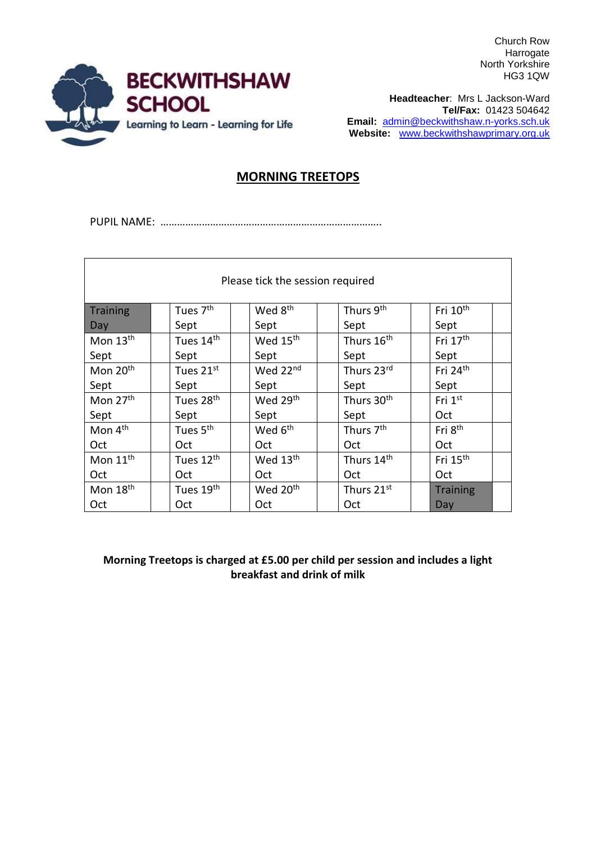Church Row Harrogate North Yorkshire HG3 1QW



**Headteacher**: Mrs L Jackson-Ward **Tel/Fax:** 01423 504642 **Email:** [admin@beckwithshaw.n-yorks.sch.uk](mailto:admin@beckwithshaw.n-yorks.sch.uk) **Website:** [www.beckwithshawprimary.org.uk](http://www.beckwithshawprimary.org.uk/)

## **MORNING TREETOPS**

PUPIL NAME: ……………………………………………………………………..

| Please tick the session required |                       |                      |                        |                      |  |  |  |
|----------------------------------|-----------------------|----------------------|------------------------|----------------------|--|--|--|
| <b>Training</b>                  | Tues 7 <sup>th</sup>  | Wed 8 <sup>th</sup>  | Thurs 9th              | Fri 10 <sup>th</sup> |  |  |  |
| Day                              | Sept                  | Sept                 | Sept                   | Sept                 |  |  |  |
| Mon 13 <sup>th</sup>             | Tues 14 <sup>th</sup> | Wed 15 <sup>th</sup> | Thurs 16 <sup>th</sup> | Fri 17 <sup>th</sup> |  |  |  |
| Sept                             | Sept                  | Sept                 | Sept                   | Sept                 |  |  |  |
| Mon 20 <sup>th</sup>             | Tues 21st             | Wed 22nd             | Thurs 23rd             | Fri 24th             |  |  |  |
| Sept                             | Sept                  | Sept                 | Sept                   | Sept                 |  |  |  |
| Mon 27 <sup>th</sup>             | Tues 28 <sup>th</sup> | Wed 29 <sup>th</sup> | Thurs 30 <sup>th</sup> | Fri $1st$            |  |  |  |
| Sept                             | Sept                  | Sept                 | Sept                   | Oct                  |  |  |  |
| Mon 4 <sup>th</sup>              | Tues 5 <sup>th</sup>  | Wed 6 <sup>th</sup>  | Thurs 7 <sup>th</sup>  | Fri 8 <sup>th</sup>  |  |  |  |
| Oct                              | Oct                   | Oct                  | Oct                    | Oct                  |  |  |  |
| Mon 11 <sup>th</sup>             | Tues 12 <sup>th</sup> | Wed 13 <sup>th</sup> | Thurs 14 <sup>th</sup> | Fri 15 <sup>th</sup> |  |  |  |
| Oct                              | Oct.                  | <b>Oct</b>           | Oct                    | Oct                  |  |  |  |
| Mon 18 <sup>th</sup>             | Tues 19th             | Wed 20 <sup>th</sup> | Thurs 21st             | <b>Training</b>      |  |  |  |
| Oct                              | Oct                   | Oct                  | Oct                    | Day                  |  |  |  |

**Morning Treetops is charged at £5.00 per child per session and includes a light breakfast and drink of milk**